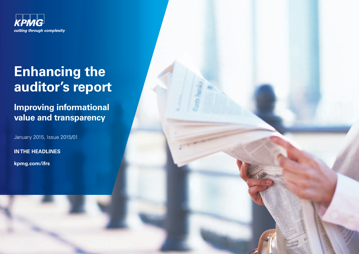

# **Enhancing the auditor's report**

# **Improving informational value and transparency**

January 2015, Issue 2015/01

**IN THE HEADLINES**

**[kpmg.com/ifrs](www.kpmg.com/ifrs)**